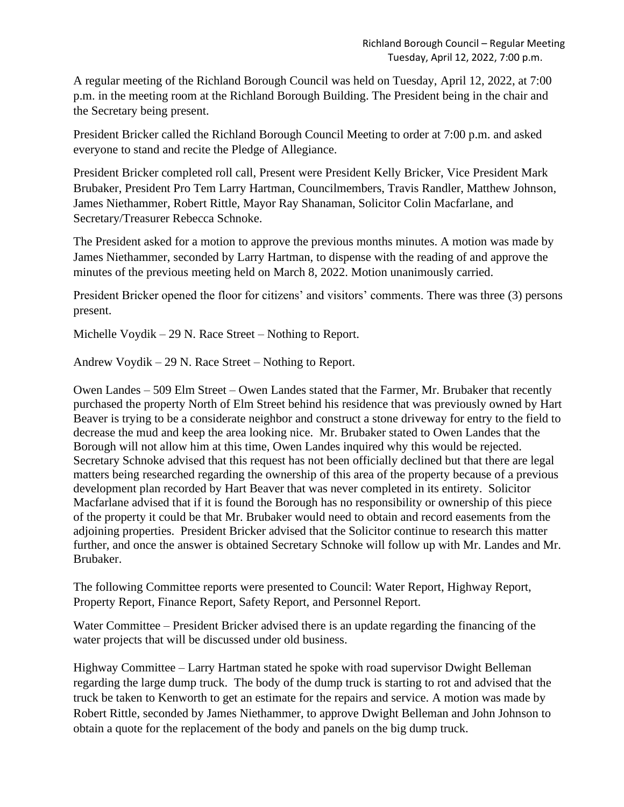A regular meeting of the Richland Borough Council was held on Tuesday, April 12, 2022, at 7:00 p.m. in the meeting room at the Richland Borough Building. The President being in the chair and the Secretary being present.

President Bricker called the Richland Borough Council Meeting to order at 7:00 p.m. and asked everyone to stand and recite the Pledge of Allegiance.

President Bricker completed roll call, Present were President Kelly Bricker, Vice President Mark Brubaker, President Pro Tem Larry Hartman, Councilmembers, Travis Randler, Matthew Johnson, James Niethammer, Robert Rittle, Mayor Ray Shanaman, Solicitor Colin Macfarlane, and Secretary/Treasurer Rebecca Schnoke.

The President asked for a motion to approve the previous months minutes. A motion was made by James Niethammer, seconded by Larry Hartman, to dispense with the reading of and approve the minutes of the previous meeting held on March 8, 2022. Motion unanimously carried.

President Bricker opened the floor for citizens' and visitors' comments. There was three (3) persons present.

Michelle Voydik – 29 N. Race Street – Nothing to Report.

Andrew Voydik – 29 N. Race Street – Nothing to Report.

Owen Landes – 509 Elm Street – Owen Landes stated that the Farmer, Mr. Brubaker that recently purchased the property North of Elm Street behind his residence that was previously owned by Hart Beaver is trying to be a considerate neighbor and construct a stone driveway for entry to the field to decrease the mud and keep the area looking nice. Mr. Brubaker stated to Owen Landes that the Borough will not allow him at this time, Owen Landes inquired why this would be rejected. Secretary Schnoke advised that this request has not been officially declined but that there are legal matters being researched regarding the ownership of this area of the property because of a previous development plan recorded by Hart Beaver that was never completed in its entirety. Solicitor Macfarlane advised that if it is found the Borough has no responsibility or ownership of this piece of the property it could be that Mr. Brubaker would need to obtain and record easements from the adjoining properties. President Bricker advised that the Solicitor continue to research this matter further, and once the answer is obtained Secretary Schnoke will follow up with Mr. Landes and Mr. Brubaker.

The following Committee reports were presented to Council: Water Report, Highway Report, Property Report, Finance Report, Safety Report, and Personnel Report.

Water Committee – President Bricker advised there is an update regarding the financing of the water projects that will be discussed under old business.

Highway Committee – Larry Hartman stated he spoke with road supervisor Dwight Belleman regarding the large dump truck. The body of the dump truck is starting to rot and advised that the truck be taken to Kenworth to get an estimate for the repairs and service. A motion was made by Robert Rittle, seconded by James Niethammer, to approve Dwight Belleman and John Johnson to obtain a quote for the replacement of the body and panels on the big dump truck.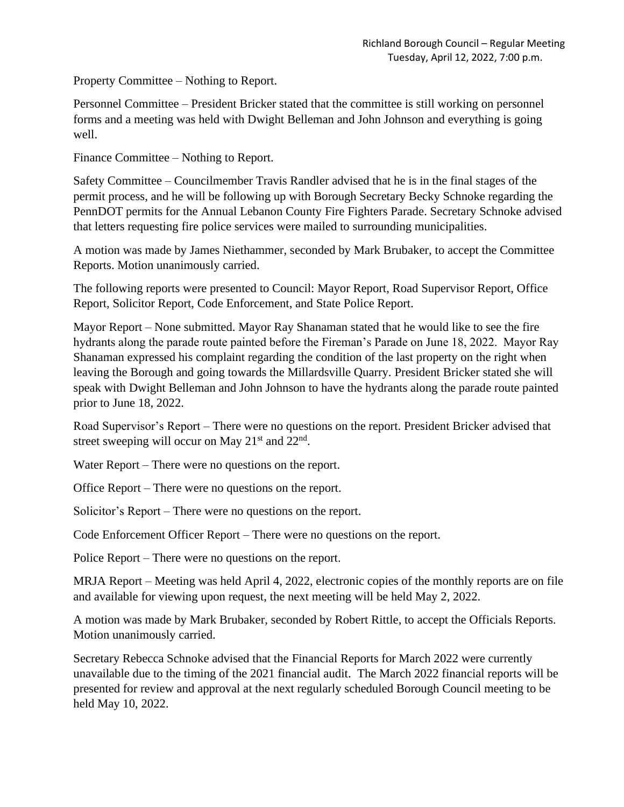Property Committee – Nothing to Report.

Personnel Committee – President Bricker stated that the committee is still working on personnel forms and a meeting was held with Dwight Belleman and John Johnson and everything is going well.

Finance Committee – Nothing to Report.

Safety Committee – Councilmember Travis Randler advised that he is in the final stages of the permit process, and he will be following up with Borough Secretary Becky Schnoke regarding the PennDOT permits for the Annual Lebanon County Fire Fighters Parade. Secretary Schnoke advised that letters requesting fire police services were mailed to surrounding municipalities.

A motion was made by James Niethammer, seconded by Mark Brubaker, to accept the Committee Reports. Motion unanimously carried.

The following reports were presented to Council: Mayor Report, Road Supervisor Report, Office Report, Solicitor Report, Code Enforcement, and State Police Report.

Mayor Report – None submitted. Mayor Ray Shanaman stated that he would like to see the fire hydrants along the parade route painted before the Fireman's Parade on June 18, 2022. Mayor Ray Shanaman expressed his complaint regarding the condition of the last property on the right when leaving the Borough and going towards the Millardsville Quarry. President Bricker stated she will speak with Dwight Belleman and John Johnson to have the hydrants along the parade route painted prior to June 18, 2022.

Road Supervisor's Report – There were no questions on the report. President Bricker advised that street sweeping will occur on May  $21<sup>st</sup>$  and  $22<sup>nd</sup>$ .

Water Report – There were no questions on the report.

Office Report – There were no questions on the report.

Solicitor's Report – There were no questions on the report.

Code Enforcement Officer Report – There were no questions on the report.

Police Report – There were no questions on the report.

MRJA Report – Meeting was held April 4, 2022, electronic copies of the monthly reports are on file and available for viewing upon request, the next meeting will be held May 2, 2022.

A motion was made by Mark Brubaker, seconded by Robert Rittle, to accept the Officials Reports. Motion unanimously carried.

Secretary Rebecca Schnoke advised that the Financial Reports for March 2022 were currently unavailable due to the timing of the 2021 financial audit. The March 2022 financial reports will be presented for review and approval at the next regularly scheduled Borough Council meeting to be held May 10, 2022.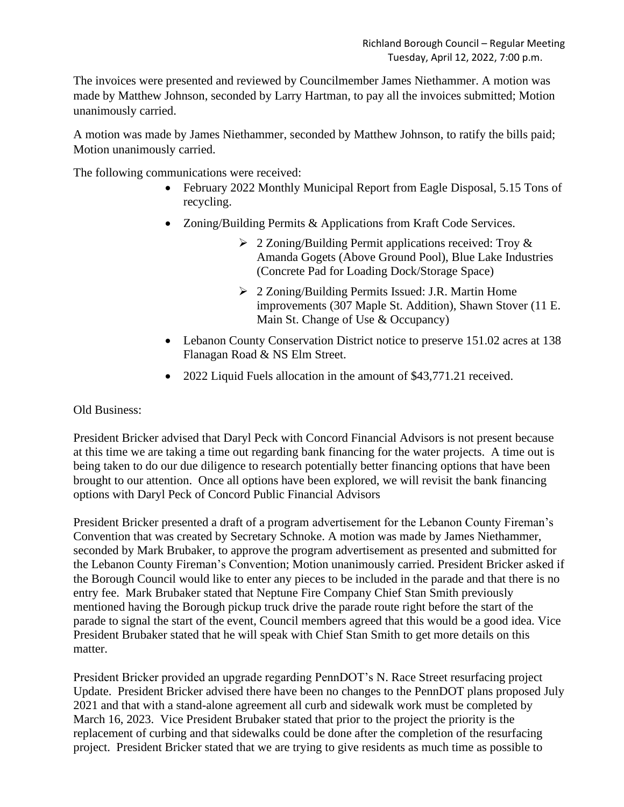The invoices were presented and reviewed by Councilmember James Niethammer. A motion was made by Matthew Johnson, seconded by Larry Hartman, to pay all the invoices submitted; Motion unanimously carried.

A motion was made by James Niethammer, seconded by Matthew Johnson, to ratify the bills paid; Motion unanimously carried.

The following communications were received:

- February 2022 Monthly Municipal Report from Eagle Disposal, 5.15 Tons of recycling.
- Zoning/Building Permits & Applications from Kraft Code Services.
	- ➢ 2 Zoning/Building Permit applications received: Troy & Amanda Gogets (Above Ground Pool), Blue Lake Industries (Concrete Pad for Loading Dock/Storage Space)
	- ➢ 2 Zoning/Building Permits Issued: J.R. Martin Home improvements (307 Maple St. Addition), Shawn Stover (11 E. Main St. Change of Use & Occupancy)
- Lebanon County Conservation District notice to preserve 151.02 acres at 138 Flanagan Road & NS Elm Street.
- 2022 Liquid Fuels allocation in the amount of \$43,771.21 received.

## Old Business:

President Bricker advised that Daryl Peck with Concord Financial Advisors is not present because at this time we are taking a time out regarding bank financing for the water projects. A time out is being taken to do our due diligence to research potentially better financing options that have been brought to our attention. Once all options have been explored, we will revisit the bank financing options with Daryl Peck of Concord Public Financial Advisors

President Bricker presented a draft of a program advertisement for the Lebanon County Fireman's Convention that was created by Secretary Schnoke. A motion was made by James Niethammer, seconded by Mark Brubaker, to approve the program advertisement as presented and submitted for the Lebanon County Fireman's Convention; Motion unanimously carried. President Bricker asked if the Borough Council would like to enter any pieces to be included in the parade and that there is no entry fee. Mark Brubaker stated that Neptune Fire Company Chief Stan Smith previously mentioned having the Borough pickup truck drive the parade route right before the start of the parade to signal the start of the event, Council members agreed that this would be a good idea. Vice President Brubaker stated that he will speak with Chief Stan Smith to get more details on this matter.

President Bricker provided an upgrade regarding PennDOT's N. Race Street resurfacing project Update. President Bricker advised there have been no changes to the PennDOT plans proposed July 2021 and that with a stand-alone agreement all curb and sidewalk work must be completed by March 16, 2023. Vice President Brubaker stated that prior to the project the priority is the replacement of curbing and that sidewalks could be done after the completion of the resurfacing project. President Bricker stated that we are trying to give residents as much time as possible to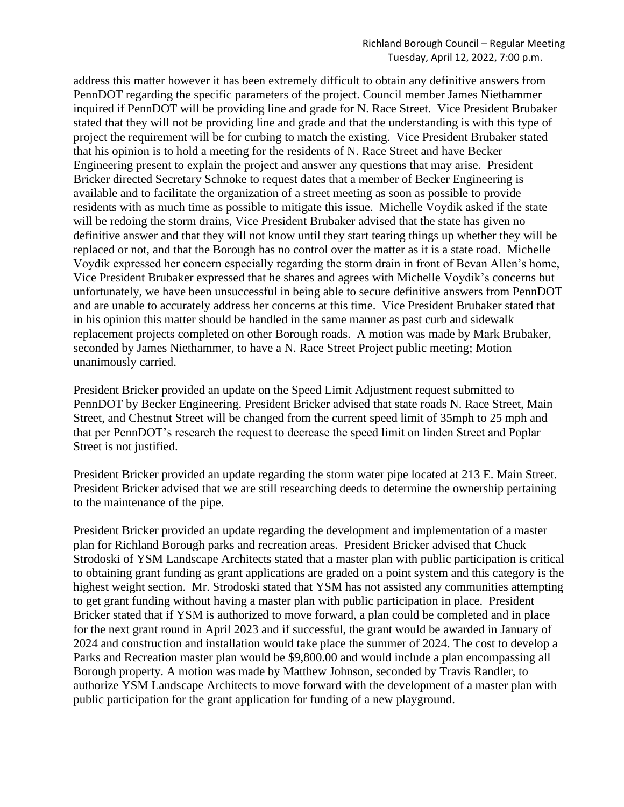address this matter however it has been extremely difficult to obtain any definitive answers from PennDOT regarding the specific parameters of the project. Council member James Niethammer inquired if PennDOT will be providing line and grade for N. Race Street. Vice President Brubaker stated that they will not be providing line and grade and that the understanding is with this type of project the requirement will be for curbing to match the existing. Vice President Brubaker stated that his opinion is to hold a meeting for the residents of N. Race Street and have Becker Engineering present to explain the project and answer any questions that may arise. President Bricker directed Secretary Schnoke to request dates that a member of Becker Engineering is available and to facilitate the organization of a street meeting as soon as possible to provide residents with as much time as possible to mitigate this issue. Michelle Voydik asked if the state will be redoing the storm drains, Vice President Brubaker advised that the state has given no definitive answer and that they will not know until they start tearing things up whether they will be replaced or not, and that the Borough has no control over the matter as it is a state road. Michelle Voydik expressed her concern especially regarding the storm drain in front of Bevan Allen's home, Vice President Brubaker expressed that he shares and agrees with Michelle Voydik's concerns but unfortunately, we have been unsuccessful in being able to secure definitive answers from PennDOT and are unable to accurately address her concerns at this time. Vice President Brubaker stated that in his opinion this matter should be handled in the same manner as past curb and sidewalk replacement projects completed on other Borough roads. A motion was made by Mark Brubaker, seconded by James Niethammer, to have a N. Race Street Project public meeting; Motion unanimously carried.

President Bricker provided an update on the Speed Limit Adjustment request submitted to PennDOT by Becker Engineering. President Bricker advised that state roads N. Race Street, Main Street, and Chestnut Street will be changed from the current speed limit of 35mph to 25 mph and that per PennDOT's research the request to decrease the speed limit on linden Street and Poplar Street is not justified.

President Bricker provided an update regarding the storm water pipe located at 213 E. Main Street. President Bricker advised that we are still researching deeds to determine the ownership pertaining to the maintenance of the pipe.

President Bricker provided an update regarding the development and implementation of a master plan for Richland Borough parks and recreation areas. President Bricker advised that Chuck Strodoski of YSM Landscape Architects stated that a master plan with public participation is critical to obtaining grant funding as grant applications are graded on a point system and this category is the highest weight section. Mr. Strodoski stated that YSM has not assisted any communities attempting to get grant funding without having a master plan with public participation in place. President Bricker stated that if YSM is authorized to move forward, a plan could be completed and in place for the next grant round in April 2023 and if successful, the grant would be awarded in January of 2024 and construction and installation would take place the summer of 2024. The cost to develop a Parks and Recreation master plan would be \$9,800.00 and would include a plan encompassing all Borough property. A motion was made by Matthew Johnson, seconded by Travis Randler, to authorize YSM Landscape Architects to move forward with the development of a master plan with public participation for the grant application for funding of a new playground.